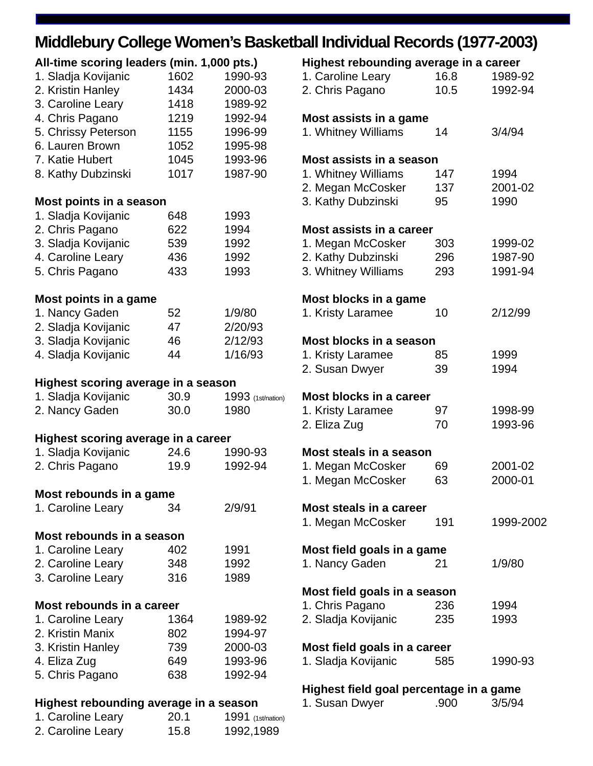## **Middlebury College Women's Basketball Individual Records (1977-2003)**

| All-time scoring leaders (min. 1,000 pts.)<br>1. Sladja Kovijanic | 1602              | 1990-93            |
|-------------------------------------------------------------------|-------------------|--------------------|
| 2. Kristin Hanley                                                 | 1434              | 2000-03            |
| 3. Caroline Leary                                                 | 1418              | 1989-92            |
| 4. Chris Pagano<br>5. Chrissy Peterson                            | 1219<br>1155      | 1992-94<br>1996-99 |
| 6. Lauren Brown                                                   | 1052              | 1995-98            |
| 7. Katie Hubert                                                   | 1045              | 1993-96            |
| 8. Kathy Dubzinski                                                | 1017              | 1987-90            |
| Most points in a season                                           |                   |                    |
| 1. Sladja Kovijanic                                               | 648               | 1993               |
| 2. Chris Pagano                                                   | 622               | 1994               |
| 3. Sladja Kovijanic                                               | 539               | 1992               |
| 4. Caroline Leary                                                 | 436               | 1992               |
| 5. Chris Pagano                                                   | 433               | 1993               |
| Most points in a game                                             |                   |                    |
| 1. Nancy Gaden                                                    | 52<br>47          | 1/9/80             |
| 2. Sladja Kovijanic<br>3. Sladja Kovijanic                        | 46                | 2/20/93<br>2/12/93 |
| 4. Sladja Kovijanic                                               | 44                | 1/16/93            |
|                                                                   |                   |                    |
| Highest scoring average in a season                               |                   |                    |
| 1. Sladja Kovijanic                                               | 30.9 <sub>2</sub> | 1993 (1st/nation)  |
| 2. Nancy Gaden                                                    | 30.0              | 1980               |
| Highest scoring average in a career                               |                   |                    |
| 1. Sladja Kovijanic                                               | 24.6              | 1990-93            |
| 2. Chris Pagano                                                   | 19.9              | 1992-94            |
| Most rebounds in a game                                           |                   |                    |
| 1. Caroline Leary                                                 | 34                | 2/9/91             |
| Most rebounds in a season                                         |                   |                    |
| 1. Caroline Leary                                                 | 402               | 1991               |
| 2. Caroline Leary                                                 | 348               | 1992               |
| 3. Caroline Leary                                                 | 316               | 1989               |
| Most rebounds in a career                                         |                   |                    |
| 1. Caroline Leary                                                 | 1364              | 1989-92            |
| 2. Kristin Manix                                                  | 802               | 1994-97            |
| 3. Kristin Hanley                                                 | 739               | 2000-03            |
| 4. Eliza Zug                                                      | 649               | 1993-96            |
| 5. Chris Pagano                                                   | 638               | 1992-94            |
| Highest rebounding average in a season                            |                   |                    |
| 1. Caroline Leary                                                 | 20.1              | 1991 (1st/nation)  |

2. Caroline Leary 15.8 1992,1989

| Highest rebounding average in a career  |      |           |
|-----------------------------------------|------|-----------|
| 1. Caroline Leary                       | 16.8 | 1989-92   |
| 2. Chris Pagano                         | 10.5 | 1992-94   |
| Most assists in a game                  |      |           |
| 1. Whitney Williams                     | 14   | 3/4/94    |
| Most assists in a season                |      |           |
| 1. Whitney Williams                     | 147  | 1994      |
| 2. Megan McCosker                       | 137  | 2001-02   |
| 3. Kathy Dubzinski                      | 95   | 1990      |
| Most assists in a career                |      |           |
| 1. Megan McCosker                       | 303  | 1999-02   |
| 2. Kathy Dubzinski                      | 296  | 1987-90   |
| 3. Whitney Williams                     | 293  | 1991-94   |
| Most blocks in a game                   |      |           |
| 1. Kristy Laramee                       | 10   | 2/12/99   |
| Most blocks in a season                 |      |           |
| 1. Kristy Laramee                       | 85   | 1999      |
| 2. Susan Dwyer                          | 39   | 1994      |
| Most blocks in a career                 |      |           |
| 1. Kristy Laramee                       | 97   | 1998-99   |
| 2. Eliza Zug                            | 70   | 1993-96   |
| Most steals in a season                 |      |           |
| 1. Megan McCosker                       | 69   | 2001-02   |
| 1. Megan McCosker                       | 63   | 2000-01   |
| Most steals in a career                 |      |           |
| 1. Megan McCosker                       | 191  | 1999-2002 |
| Most field goals in a game              |      |           |
| 1. Nancy Gaden                          | 21   | 1/9/80    |
| Most field goals in a season            |      |           |
| 1. Chris Pagano                         | 236  | 1994      |
| 2. Sladja Kovijanic                     | 235  | 1993      |
| Most field goals in a career            |      |           |
| 1. Sladja Kovijanic                     | 585  | 1990-93   |
| Highest field goal percentage in a game |      |           |

| 1. Susan Dwyer |  | .900 | 3/5/94 |
|----------------|--|------|--------|
|                |  |      |        |